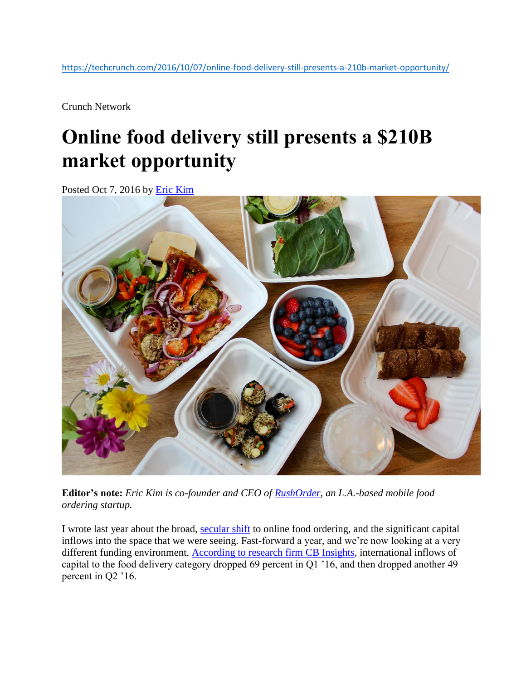<https://techcrunch.com/2016/10/07/online-food-delivery-still-presents-a-210b-market-opportunity/>

Crunch Network

## **Online food delivery still presents a \$210B market opportunity**

Posted Oct 7, 2016 by [Eric Kim](https://techcrunch.com/contributor/eric-kim/)



**Editor's note:** *Eric Kim is co-founder and CEO of [RushOrder,](https://www.rushorderapp.com/) an L.A.-based mobile food ordering startup.*

I wrote last year about the broad, [secular shift](https://techcrunch.com/2015/05/07/a-secular-shift-to-online-food-ordering/) to online food ordering, and the significant capital inflows into the space that we were seeing. Fast-forward a year, and we're now looking at a very different funding environment. [According to research firm CB Insights,](https://www.cbinsights.com/blog/food-delivery-startups-funding-collapse/) international inflows of capital to the food delivery category dropped 69 percent in Q1 '16, and then dropped another 49 percent in Q2 '16.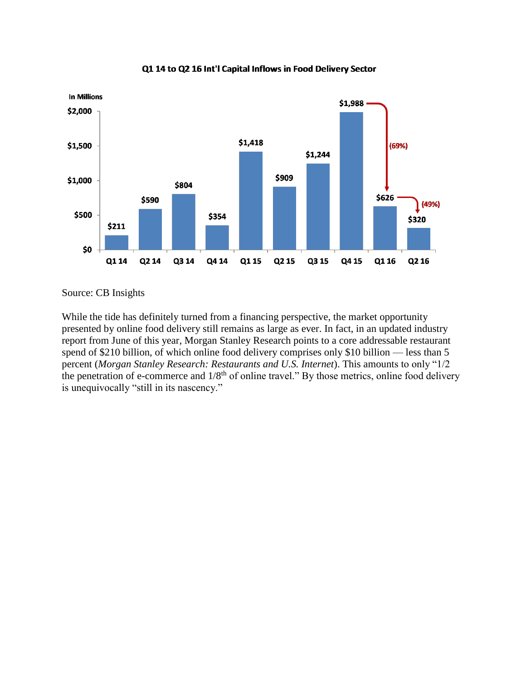

Q1 14 to Q2 16 Int'l Capital Inflows in Food Delivery Sector

Source: CB Insights

While the tide has definitely turned from a financing perspective, the market opportunity presented by online food delivery still remains as large as ever. In fact, in an updated industry report from June of this year, Morgan Stanley Research points to a core addressable restaurant spend of \$210 billion, of which online food delivery comprises only \$10 billion — less than 5 percent (*Morgan Stanley Research: Restaurants and U.S. Internet*). This amounts to only "1/2 the penetration of e-commerce and  $1/8<sup>th</sup>$  of online travel." By those metrics, online food delivery is unequivocally "still in its nascency."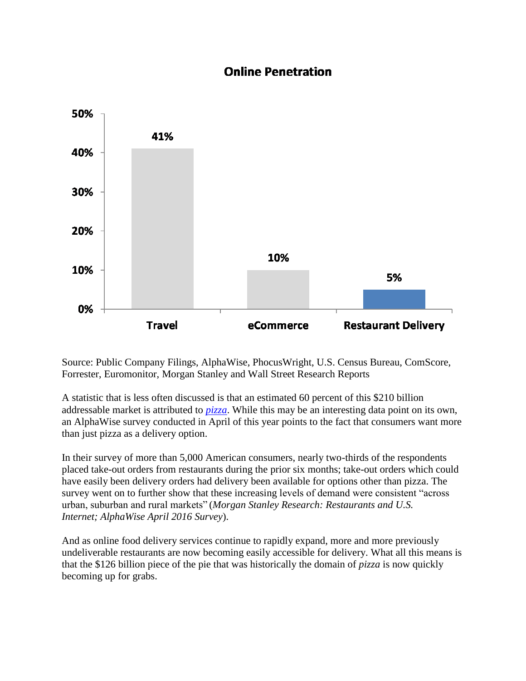## **Online Penetration**



Source: Public Company Filings, AlphaWise, PhocusWright, U.S. Census Bureau, ComScore, Forrester, Euromonitor, Morgan Stanley and Wall Street Research Reports

A statistic that is less often discussed is that an estimated 60 percent of this \$210 billion addressable market is attributed to *[pizza](http://www.morganstanley.com/ideas/pizza-paradigm-for-online-food-delivery)*. While this may be an interesting data point on its own, an AlphaWise survey conducted in April of this year points to the fact that consumers want more than just pizza as a delivery option.

In their survey of more than 5,000 American consumers, nearly two-thirds of the respondents placed take-out orders from restaurants during the prior six months; take-out orders which could have easily been delivery orders had delivery been available for options other than pizza. The survey went on to further show that these increasing levels of demand were consistent "across urban, suburban and rural markets" (*Morgan Stanley Research: Restaurants and U.S. Internet; AlphaWise April 2016 Survey*).

And as online food delivery services continue to rapidly expand, more and more previously undeliverable restaurants are now becoming easily accessible for delivery. What all this means is that the \$126 billion piece of the pie that was historically the domain of *pizza* is now quickly becoming up for grabs.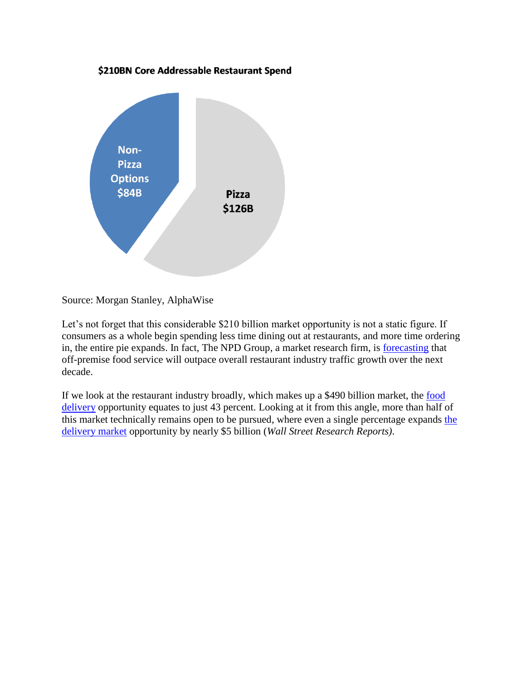## \$210BN Core Addressable Restaurant Spend



Source: Morgan Stanley, AlphaWise

Let's not forget that this considerable \$210 billion market opportunity is not a static figure. If consumers as a whole begin spending less time dining out at restaurants, and more time ordering in, the entire pie expands. In fact, The NPD Group, a market research firm, is [forecasting](http://restaurant-hospitality.com/consumer-trends/report-delivery-shows-double-digit-growth) that off-premise food service will outpace overall restaurant industry traffic growth over the next decade.

If we look at the restaurant industry broadly, which makes up a \$490 billion market, the food [delivery](https://www.sec.gov/Archives/edgar/data/1594109/000156459016023270/grub-10q_20160630.htm) opportunity equates to just 43 percent. Looking at it from this angle, more than half of this market technically remains open to be pursued, where even a single percentage expands [the](https://www.sec.gov/Archives/edgar/data/1594109/000156459016013426/grub-10k_20151231.htm)  [delivery market](https://www.sec.gov/Archives/edgar/data/1594109/000156459016013426/grub-10k_20151231.htm) opportunity by nearly \$5 billion (*Wall Street Research Reports)*.